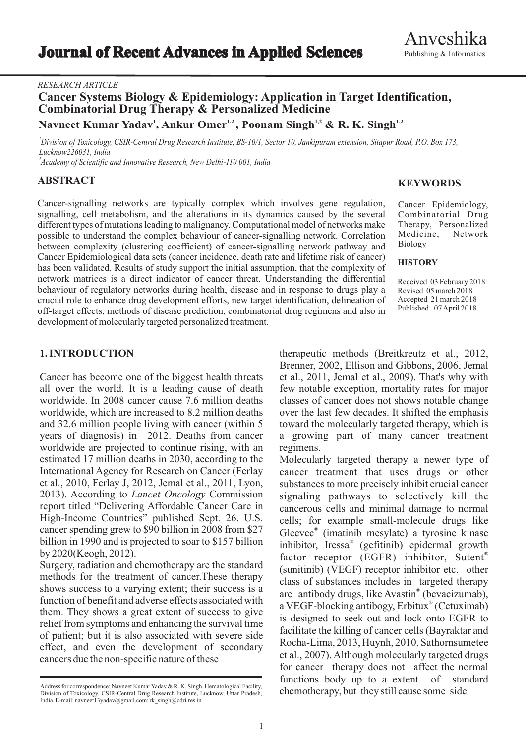## *RESEARCH ARTICLE*

# **Cancer Systems Biology & Epidemiology: Application in Target Identification, Combinatorial Drug Therapy & Personalized Medicine <sup>1</sup> 1,2 1,2 1,2 Navneet Kumar Yadav , Ankur Omer , Poonam Singh & R. K. Singh**

<sup>1</sup>Division of Toxicology, CSIR-Central Drug Research Institute, BS-10/1, Sector 10, Jankipuram extension, Sitapur Road, P.O. Box 173, *Lucknow226031, India*

*2 Academy of Scientific and Innovative Research, New Delhi-110 001, India*

## **ABSTRACT**

Cancer-signalling networks are typically complex which involves gene regulation, signalling, cell metabolism, and the alterations in its dynamics caused by the several different types of mutations leading to malignancy. Computational model of networks make possible to understand the complex behaviour of cancer-signalling network. Correlation between complexity (clustering coefficient) of cancer-signalling network pathway and Cancer Epidemiological data sets (cancer incidence, death rate and lifetime risk of cancer) has been validated. Results of study support the initial assumption, that the complexity of network matrices is a direct indicator of cancer threat. Understanding the differential behaviour of regulatory networks during health, disease and in response to drugs play a crucial role to enhance drug development efforts, new target identification, delineation of off-target effects, methods of disease prediction, combinatorial drug regimens and also in development of molecularly targeted personalized treatment.

# **KEYWORDS**

Cancer Epidemiology, Combinatorial Drug Therapy, Personalized Medicine, Network Biology

### **HISTORY**

Received 03 February 2018 Revised 05 march 2018 Accepted 21 march 2018 Published 07 April 2018

## **1. INTRODUCTION**

Cancer has become one of the biggest health threats all over the world. It is a leading cause of death worldwide. In 2008 cancer cause 7.6 million deaths worldwide, which are increased to 8.2 million deaths and 32.6 million people living with cancer (within 5 years of diagnosis) in 2012. Deaths from cancer worldwide are projected to continue rising, with an estimated 17 million deaths in 2030, according to the International Agency for Research on Cancer (Ferlay et al., 2010, Ferlay J, 2012, Jemal et al., 2011, Lyon, 2013). According to *Lancet Oncology* Commission report titled "Delivering Affordable Cancer Care in High-Income Countries" published Sept. 26. U.S. cancer spending grew to \$90 billion in 2008 from \$27 billion in 1990 and is projected to soar to \$157 billion by 2020(Keogh, 2012).

Surgery, radiation and chemotherapy are the standard methods for the treatment of cancer.These therapy shows success to a varying extent; their success is a function of benefit and adverse effects associated with them. They shows a great extent of success to give relief from symptoms and enhancing the survival time of patient; but it is also associated with severe side effect, and even the development of secondary cancers due the non-specific nature of these

therapeutic methods (Breitkreutz et al., 2012, Brenner, 2002, Ellison and Gibbons, 2006, Jemal et al., 2011, Jemal et al., 2009). That's why with few notable exception, mortality rates for major classes of cancer does not shows notable change over the last few decades. It shifted the emphasis toward the molecularly targeted therapy, which is a growing part of many cancer treatment regimens.

Molecularly targeted therapy a newer type of cancer treatment that uses drugs or other substances to more precisely inhibit crucial cancer signaling pathways to selectively kill the cancerous cells and minimal damage to normal cells; for example small-molecule drugs like Gleevec<sup>®</sup> (imatinib mesylate) a tyrosine kinase inhibitor, Iressa® (gefitinib) epidermal growth factor receptor (EGFR) inhibitor, Sutent® (sunitinib) (VEGF) receptor inhibitor etc. other class of substances includes in targeted therapy are antibody drugs, like Avastin® (bevacizumab), a VEGF-blocking antibogy, Erbitux® (Cetuximab) is designed to seek out and lock onto EGFR to facilitate the killing of cancer cells (Bayraktar and Rocha-Lima, 2013, Huynh, 2010, Sathornsumetee et al., 2007). Although molecularly targeted drugs for cancer therapy does not affect the normal functions body up to a extent of standard chemotherapy, but they still cause some side

Address for correspondence: Navneet Kumar Yadav & R. K. Singh, Hematological Facility, Division of Toxicology, CSIR-Central Drug Research Institute, Lucknow, Uttar Pradesh, India. E-mail: navneet13yadav@gmail.com; rk\_singh@cdri.res.in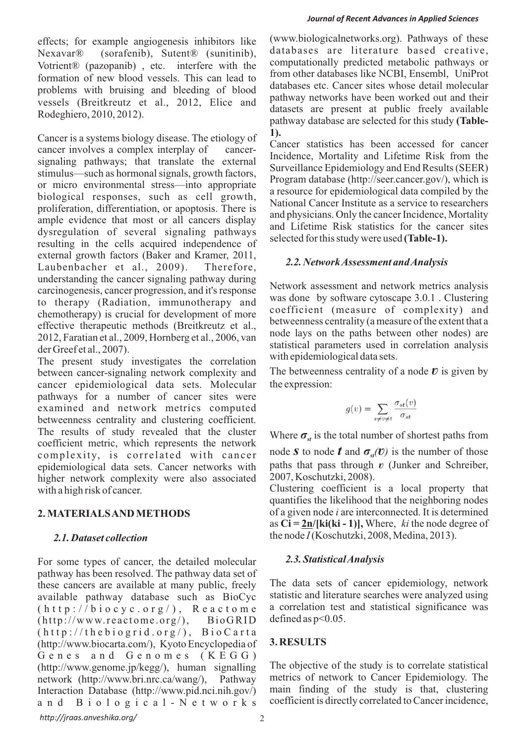Nexavar® (sorafenib), Sutent® (sunitinib), databases are literature based creative, Noticent® (pazonanib) etc. interfere with the computationally predicted metabolic pathways or Votrient® (pazopanib), etc. interfere with the computationally predicted metabolic pathways or  $f$  form other databases like NCBI. Ensembl. UniProt formation of new blood vessels. This can lead to from other databases like NCBI, Ensembly UniProt problems with bruising and bleeding of blood databases etc. Cancer sites whose detail molecular pathway networks have been worked out and their vessels (Breitkreutz et al., 2012, Elice and

Cancer is a systems biology disease. The etiology of 1).<br>
cancer statistics has been accessed for cancer cancer involves a complex interplay of cancercancer involves a complex interplay of cancer-<br>signaling pathways; that translate the external signaling pathways; that translate the external<br>signaling pathways; that translate the external<br>stimulus—such as hormonal signals, growth factors,<br>Program database (http://seer.cancer.gov/), which is or micro environmental stress—into appropriate biological responses, such as cell growth,<br>proliferation, differentiation, or apoptosis. There is and physicians. Only the cancer Incidence, Mortality<br>dysregulation of several signaling pathways<br>and Lifetime Risk statistics for the cancer sites<br>selected for this study were used (Table-1). resulting in the cells acquired independence of external growth factors (Baker and Kramer, 2011, *2.2. Network Assessment and Analysis* Laubenbacher et al., 2009). Therefore, understanding the cancer signaling pathway during<br>carcinogenesis, cancer progression, and it's response<br>to the extended was done by software cytoscape 3.0.1. Clustering<br>the thermal was done by software cytoscape 3.0.1. Clu to therapy (Radiation, immunotherapy and

The present study investigates the correlation with epidemiological data sets.<br>between cancer-signaling network complexity and The betweenness centrality of a node  $v$  is given by cancer epidemiological data sets. Molecular the expression: pathways for a number of cancer sites were examined and network metrics computed betweenness centrality and clustering coefficient. The results of study revealed that the cluster Where  $\sigma_{st}$  is the total number of shortest paths from coefficient metric, which represents the network complexity, is correlated with cancer node *s* to node *t* and epidemiological data sets. Cancer networks with paths that pass through higher network complexity were also associated 2007, Koschutzki, 2008). higher network complexity were also associated with a high risk of cancer. Clustering coefficient is a local property that

For some types of cancer, the detailed molecular 2.3. Statistical Analysis pathway has been resolved. The pathway data set of these cancers are available at many public, freely The data sets of cancer epidemiology, network available nathway database such as BioCyc statistic and literature searches were analyzed using available pathway database such as BioCyc statistic and literature searches were analyzed using  $(h + h \cdot / h)$  i.o.c.v.c. o.r.  $g / h$  R e.a.c.t.o.m.e. a correlation test and statistical significance was (http://biocyc.org/), Reactome acorrelation test<br>(http://www.reactome.org/) RioGRID defined as p<0.05.  $(http://www.reactome.org/), BioGRID$  $(http://thebiographic, org/), Biocarta$ **3. RESULTS** (http://www.biocarta.com/), Kyoto Encyclopedia of Genes and Genomes (KEGG) The objective of the study is to correlate statistical (http://www.genome.jp/kegg/), human signalling network (http://www.bri.nrc.ca/wang/), Pathway metrics of network to Cancer Epidemiology. The Interaction Database (http://www.pid.nci.nih.gov/) main finding of the study is that, clustering Interaction Database (http://www.pid.nci.nih.gov/) a n d B i o l o g i c a l - N e t w o r k s coefficient is directly correlated to Cancer incidence,

effects; for example angiogenesis inhibitors like (www.biologicalnetworks.org). Pathways of these Rodeghiero, 2010, 2012).<br>
Rodeghiero, 2010, 2012).<br> **Pathway database are selected for this study (Table-**

coefficient (measure of complexity) and conferent the complexity) and<br>effective therapeutic methods (Breitkreutz et al.,<br>2012, Faratian et al., 2009, Hornberg et al., 2006, van<br>der Greef et al., 2007).<br>The present study investigates the correlation with epidemio

$$
g(v) = \sum_{s \neq v \neq t} \frac{\sigma_{st}(v)}{\sigma_{st}}
$$

node *S* to node *t* and  $\sigma_{st}(v)$  is the number of those paths that pass through *v* (Junker and Schreiber,

quantifies the likelihood that the neighboring nodes **2. MATERIALS AND METHODS** of a given node *i* are interconnected. It is determined as  $Ci = 2n/[ki(ki - 1)],$  Where, *ki* the node degree of 2.1. Dataset collection the node *I* (Koschutzki, 2008, Medina, 2013).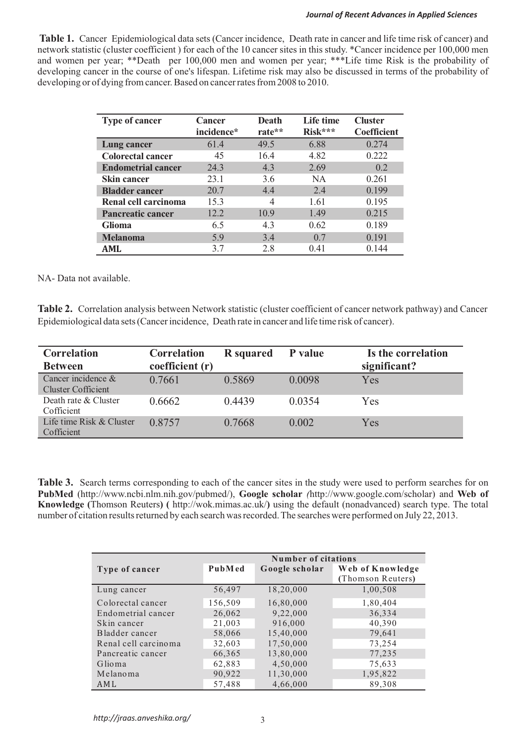### *Journal of Recent Advances in Applied Sciences*

**Table 1.** Cancer Epidemiological data sets (Cancer incidence, Death rate in cancer and life time risk of cancer) and network statistic (cluster coefficient ) for each of the 10 cancer sites in this study. \*Cancer incidence per 100,000 men and women per year; \*\*Death per 100,000 men and women per year; \*\*\*Life time Risk is the probability of developing cancer in the course of one's lifespan. Lifetime risk may also be discussed in terms of the probability of developing or of dying from cancer. Based on cancer rates from 2008 to 2010.

| <b>Type of cancer</b>     | Cancer     | <b>Death</b> | Life time | <b>Cluster</b>     |
|---------------------------|------------|--------------|-----------|--------------------|
|                           | incidence* | rate**       | Risk***   | <b>Coefficient</b> |
| Lung cancer               | 61.4       | 49.5         | 6.88      | 0.274              |
| <b>Colorectal cancer</b>  | 45         | 16.4         | 4.82      | 0.222              |
| <b>Endometrial cancer</b> | 24.3       | 4.3          | 2.69      | 0.2                |
| Skin cancer               | 23.1       | 3.6          | <b>NA</b> | 0.261              |
| <b>Bladder cancer</b>     | 20.7       | 4.4          | 2.4       | 0.199              |
| Renal cell carcinoma      | 15.3       | 4            | 1.61      | 0.195              |
| <b>Pancreatic cancer</b>  | 12.2       | 10.9         | 1.49      | 0.215              |
| <b>Glioma</b>             | 6.5        | 4.3          | 0.62      | 0.189              |
| <b>Melanoma</b>           | 5.9        | 3.4          | 0.7       | 0.191              |
| AML                       | 3.7        | 2.8          | 0.41      | 0.144              |

NA- Data not available.

**Table 2.** Correlation analysis between Network statistic (cluster coefficient of cancer network pathway) and Cancer Epidemiological data sets (Cancer incidence, Death rate in cancer and life time risk of cancer).

| <b>Correlation</b><br><b>Between</b>        | <b>Correlation</b><br>coefficient (r) | <b>R</b> squared | P value | Is the correlation<br>significant? |
|---------------------------------------------|---------------------------------------|------------------|---------|------------------------------------|
| Cancer incidence $\&$<br>Cluster Cofficient | 0.7661                                | 0.5869           | 0.0098  | Yes                                |
| Death rate & Cluster<br>Cofficient          | 0.6662                                | 0.4439           | 0.0354  | Yes                                |
| Life time Risk & Cluster<br>Cofficient      | 0.8757                                | 0.7668           | 0.002   | Yes                                |

**Table 3.** Search terms corresponding to each of the cancer sites in the study were used to perform searches for on **PubMed** (http://www.ncbi.nlm.nih.gov/pubmed/), **Google scholar** *(*http://www.google.com/scholar) and **Web of Knowledge (**Thomson Reuters**) (** http://wok.mimas.ac.uk/**)** using the default (nonadvanced) search type. The total number of citation results returned by each search was recorded. The searches were performed on July 22, 2013.

|                      | Number of citations |                |                                       |  |
|----------------------|---------------------|----------------|---------------------------------------|--|
| Type of cancer       | PubMed              | Google scholar | Web of Knowledge<br>(Thomson Reuters) |  |
| Lung cancer          | 56,497              | 18,20,000      | 1,00,508                              |  |
| Colorectal cancer    | 156,509             | 16,80,000      | 1,80,404                              |  |
| Endometrial cancer   | 26,062              | 9,22,000       | 36,334                                |  |
| Skin cancer          | 21,003              | 916,000        | 40,390                                |  |
| Bladder cancer       | 58,066              | 15,40,000      | 79,641                                |  |
| Renal cell carcinoma | 32,603              | 17,50,000      | 73,254                                |  |
| Pancreatic cancer    | 66,365              | 13,80,000      | 77,235                                |  |
| Glioma               | 62,883              | 4,50,000       | 75,633                                |  |
| Melanoma             | 90,922              | 11,30,000      | 1,95,822                              |  |
| AML                  | 57,488              | 4,66,000       | 89,308                                |  |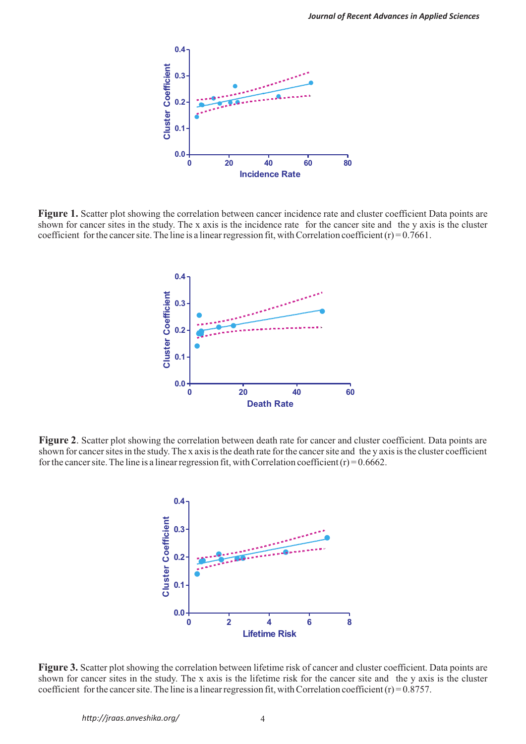

**Figure 1.** Scatter plot showing the correlation between cancer incidence rate and cluster coefficient Data points are shown for cancer sites in the study. The x axis is the incidence rate for the cancer site and the y axis is the cluster coefficient for the cancer site. The line is a linear regression fit, with Correlation coefficient  $(r) = 0.7661$ .



**Figure 2.** Scatter plot showing the correlation between death rate for cancer and cluster coefficient. Data points are shown for cancer sites in the study. The x axis is the death rate for the cancer site and the y axis is the cluster coefficient for the cancer site. The line is a linear regression fit, with Correlation coefficient  $(r) = 0.6662$ .



**Figure 3.** Scatter plot showing the correlation between lifetime risk of cancer and cluster coefficient. Data points are shown for cancer sites in the study. The x axis is the lifetime risk for the cancer site and the y axis is the cluster coefficient for the cancer site. The line is a linear regression fit, with Correlation coefficient  $(r) = 0.8757$ .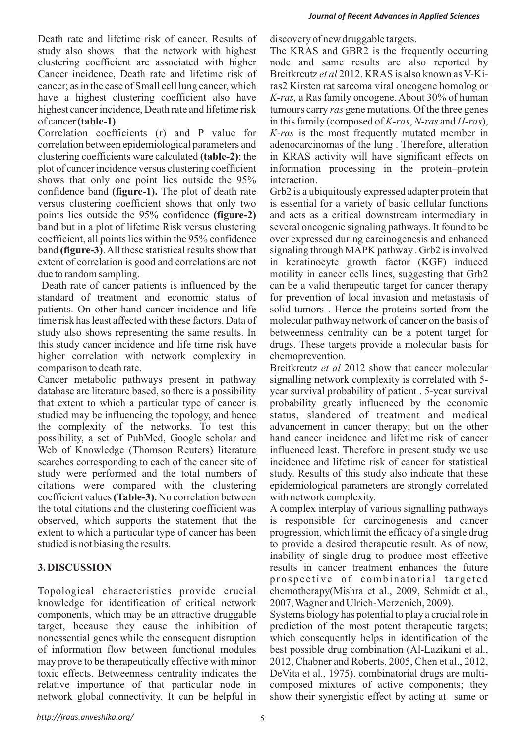Death rate and lifetime risk of cancer. Results of discovery of new druggable targets. study also shows that the network with highest The KRAS and GBR2 is the frequently occurring clustering coefficient are associated with higher node and same results are also reported by Cancer incidence, Death rate and lifetime risk of Breitkreutz *et al* 2012. KRAS is also known as V-Kicancer; as in the case of Small cell lung cancer, which ras2 Kirsten rat sarcoma viral oncogene homolog or have a highest clustering coefficient also have *K-ras,* a Ras family oncogene. About 30% of human highest cancer incidence, Death rate and lifetime risk tumours carry *ras* gene mutations. Of the three genes of cancer **(table-1)**. in this family (composed of *K-ras*, *N-ras* and *H-ras*),

Correlation coefficients (r) and P value for *K-ras* is the most frequently mutated member in correlation between epidemiological parameters and adenocarcinomas of the lung . Therefore, alteration clustering coefficients ware calculated **(table-2)**; the in KRAS activity will have significant effects on plot of cancer incidence versus clustering coefficient information processing in the protein–protein shows that only one point lies outside the 95% interaction. confidence band **(figure-1).** The plot of death rate Grb2 is a ubiquitously expressed adapter protein that versus clustering coefficient shows that only two is essential for a variety of basic cellular functions points lies outside the 95% confidence **(figure-2)** and acts as a critical downstream intermediary in band but in a plot of lifetime Risk versus clustering several oncogenic signaling pathways. It found to be coefficient, all points lies within the 95% confidence over expressed during carcinogenesis and enhanced band **(figure-3)**. All these statistical results show that signaling through MAPK pathway . Grb2 is involved extent of correlation is good and correlations are not in keratinocyte growth factor (KGF) induced due to random sampling. motility in cancer cells lines, suggesting that Grb2

Death rate of cancer patients is influenced by the can be a valid therapeutic target for cancer therapy standard of treatment and economic status of for prevention of local invasion and metastasis of patients. On other hand cancer incidence and life solid tumors . Hence the proteins sorted from the time risk has least affected with these factors. Data of molecular pathway network of cancer on the basis of study also shows representing the same results. In betweenness centrality can be a potent target for this study cancer incidence and life time risk have drugs. These targets provide a molecular basis for higher correlation with network complexity in chemoprevention. comparison to death rate. Breitkreutz *et al* 2012 show that cancer molecular

Cancer metabolic pathways present in pathway signalling network complexity is correlated with 5 database are literature based, so there is a possibility vear survival probability of patient . 5-year survival that extent to which a particular type of cancer is probability greatly influenced by the economic studied may be influencing the topology, and hence status, slandered of treatment and medical the complexity of the networks. To test this advancement in cancer therapy; but on the other possibility, a set of PubMed, Google scholar and hand cancer incidence and lifetime risk of cancer Web of Knowledge (Thomson Reuters) literature influenced least. Therefore in present study we use searches corresponding to each of the cancer site of incidence and lifetime risk of cancer for statistical study were performed and the total numbers of study. Results of this study also indicate that these citations were compared with the clustering epidemiological parameters are strongly correlated coefficient values **(Table-3).** No correlation between with network complexity. the total citations and the clustering coefficient was A complex interplay of various signalling pathways observed, which supports the statement that the is responsible for carcinogenesis and cancer extent to which a particular type of cancer has been progression, which limit the efficacy of a single drug studied is not biasing the results. to provide a desired therapeutic result. As of now,

Topological characteristics provide crucial chemotherapy(Mishra et al., 2009, Schmidt et al., knowledge for identification of critical network 2007, Wagner and Ulrich-Merzenich, 2009). components, which may be an attractive druggable Systems biology has potential to play a crucial role in target, because they cause the inhibition of prediction of the most potent therapeutic targets; nonessential genes while the consequent disruption which consequently helps in identification of the of information flow between functional modules best possible drug combination (Al-Lazikani et al., may prove to be therapeutically effective with minor 2012, Chabner and Roberts, 2005, Chen et al., 2012, toxic effects. Betweenness centrality indicates the DeVita et al., 1975). combinatorial drugs are multirelative importance of that particular node in composed mixtures of active components; they network global connectivity. It can be helpful in show their synergistic effect by acting at same or

inability of single drug to produce most effective **3. DISCUSSION** results in cancer treatment enhances the future prospective of combinatorial targeted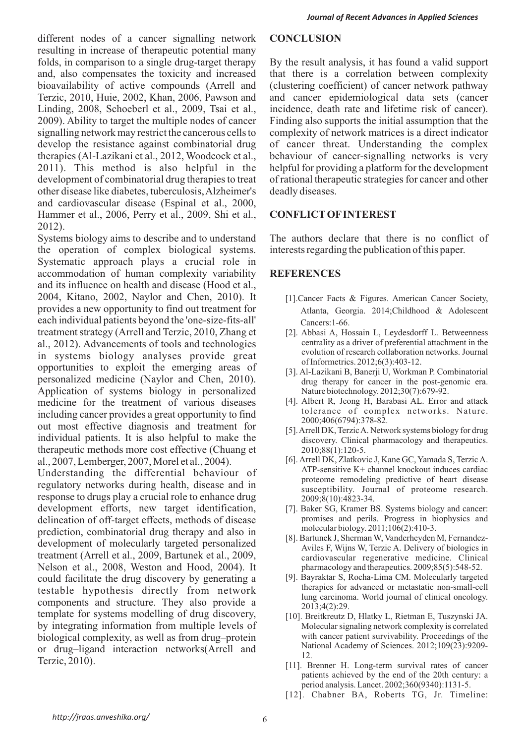different nodes of a cancer signalling network **CONCLUSION** resulting in increase of therapeutic potential many folds, in comparison to a single drug-target therapy By the result analysis, it has found a valid support and, also compensates the toxicity and increased that there is a correlation between complexity bioavailability of active compounds (Arrell and (clustering coefficient) of cancer network pathway Terzic, 2010, Huie, 2002, Khan, 2006, Pawson and and cancer epidemiological data sets (cancer Linding, 2008, Schoeberl et al., 2009, Tsai et al., incidence, death rate and lifetime risk of cancer). 2009). Ability to target the multiple nodes of cancer Finding also supports the initial assumption that the signalling network may restrict the cancerous cells to complexity of network matrices is a direct indicator develop the resistance against combinatorial drug of cancer threat. Understanding the complex therapies (Al-Lazikani et al., 2012, Woodcock et al., behaviour of cancer-signalling networks is very 2011). This method is also helpful in the helpful for providing a platform for the development development of combinatorial drug therapies to treat of rational therapeutic strategies for cancer and other other disease like diabetes, tuberculosis, Alzheimer's deadly diseases. and cardiovascular disease (Espinal et al., 2000, Hammer et al., 2006, Perry et al., 2009, Shi et al., **CONFLICTOFINTEREST** 2012).

Systems biology aims to describe and to understand The authors declare that there is no conflict of the operation of complex biological systems. interests regarding the publication of this paper. Systematic approach plays a crucial role in accommodation of human complexity variability **REFERENCES** and its influence on health and disease (Hood et al., 2004, Kitano, 2002, Naylor and Chen, 2010). It [1].Cancer Facts & Figures. American Cancer Society, provides a new opportunity to find out treatment for Atlanta, Georgia. 2014;Childhood & Adolescent each individual patients beyond the 'one-size-fits-all' Cancers:1-66.<br>
treatment strategy (Arrell and Terzic, 2010, Zhang et [2]. Abbasi A, Hossain L, Leydesdorff L. Betweenness treatment strategy (Arrell and Terzic, 2010, Zhang et [2]. Abbasi A, Hossain L, Leydesdorff L. Betweenness<br>al. 2012) Advancements of tools and technologies centrality as a driver of preferential attachment in the al., 2012). Advancements of tools and technologies centrality as a driver of preferential attachment in the evolution of research collaboration networks. Journal in systems biology analyses provide great evolution of research collaboration<br>of Informetrics. 2012;6(3):403-12. opportunities to exploit the emerging areas of  $\frac{0.01 \text{ m}{0.01 \text{ m}}}{0.01 \text{ m}}$ . Banerji U, Workman P. Combinatorial personalized medicine (Naylor and Chen, 2010). drug therapy for cancer in the post-genomic era. Application of systems biology in personalized<br>medicine for the treatment of various diseases [4]. Albert R, Jeong H, Barabasi AL. Error and attack medicine for the treatment of various diseases including cancer provides a great opportunity to find<br>
out most effective diagnosis and treatment for<br>
individual patients. It is also helpful to make the<br>
individual patients. It is also helpful to make the<br>
individual pa individual patients. It is also helpful to make the therapeutic methods more cost effective (Chuang et 2010;88(1):120-5. al., 2007, Lemberger, 2007, Morel et al., 2004).

Understanding the differential behaviour of  $\frac{\text{AP} \cdot \text{sensitivity}}{\text{Proteome remodeling predictive of heart disease}}$ proteome remodeling predictive of heart disease regulatory networks during health, disease and in susceptibility. Journal of proteome research. response to drugs play a crucial role to enhance drug<br>development efforts, new target identification, [7]. Baker SG, Kramer BS, Systems biology and cancer: development efforts, new target identification, [7]. Baker SG, Kramer BS. Systems biology and cancer:<br>delineation of off-target effects methods of disease promises and perils. Progress in biophysics and delineation of off-target effects, methods of disease promises and perils. Progress in biomysical drug there is and also in molecular biology. 2011;106(2):410-3. prediction, combinatorial drug therapy and also in<br>development of molecularly targeted personalized<br>development of molecularly targeted personalized<br>Aviles F. Wiins W. Terzic A. Delivery of biologics in treatment (Arrell et al., 2009, Bartunek et al., 2009, cardiovascular regenerative medicine. Clinical Nelson et al., 2008, Weston and Hood, 2004). It pharmacology and therapeutics. 2009;85(5):548-52. could facilitate the drug discovery by generating a [9]. Bayraktar S, Rocha-Lima CM. Molecularly targeted therapies for advanced or metastatic non-small-cell testable hypothesis directly from network therapies for advanced or metastatic non-small-cell<br>lung carcinoma. World journal of clinical oncology. components and structure. They also provide a  $\frac{\text{tung carbon}}{2013;4(2):29}$ . template for systems modelling of drug discovery, [10]. Breitkreutz D, Hlatky L, Rietman E, Tuszynski JA. by integrating information from multiple levels of<br>
Molecular signaling network complexity is correlated<br>
biological complexity as well as from drug-protein<br>
with cancer patient survivability. Proceedings of the biological complexity, as well as from drug–protein with cancer patient survivability. Proceedings of the National Academy of Sciences. 2012;109(23):9209-<br>
Terzic, 2010). [11]. Brenner H. Long-term survival rates of cancer

- 
- 
- 
- tolerance of complex networks. Nature.<br>2000;406(6794):378-82.
- 
- [6]. Arrell DK, Zlatkovic J, Kane GC, Yamada S, Terzic A.<br>ATP-sensitive K+ channel knockout induces cardiac
- 
- 
- 
- 
- patients achieved by the end of the 20th century: a period analysis. Lancet. 2002;360(9340):1131-5.
- [12]. Chabner BA, Roberts TG, Jr. Timeline: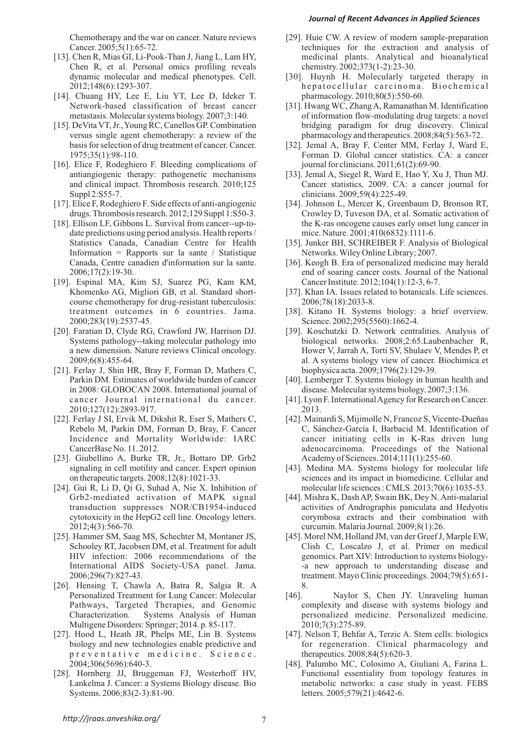### *Journal of Recent Advances in Applied Sciences*

- [13]. Chen R, Mias GI, Li-Pook-Than J, Jiang L, Lam HY, medicinal plants. Analytical and bioanalytical Chen R, et al. Personal omics profiling reveals chemistry. 2002;373(1-2):23-30.
- [14]. Chuang HY, Lee E, Liu YT, Lee D, Ideker T. pharmacology. 2010;80(5):550-60.
- [15]. DeVita VT, Jr., Young RC, Canellos GP. Combination bridging paradigm for drug discovery. Clinical
- [16]. Elice F, Rodeghiero F. Bleeding complications of journal for clinicians. 2011;61(2):69-90. Suppl 2:S55-7. clinicians. 2009;59(4):225-49.
- 
- date predictions using period analysis. Health reports / mice. Nature. 2001;410(6832):1111-6. Information = Rapports sur la sante / Statistique Networks. Wiley Online Library; 2007.
- [19]. Espinal MA, Kim SJ, Suarez PG, Kam KM, Cancer Institute. 2012;104(1):12-3, 6-7. course chemotherapy for drug-resistant tuberculosis: 2006;78(18):2033-8. 2000;283(19):2537-45. Science. 2002;295(5560):1662-4.
- 
- [21]. Ferlay J, Shin HR, Bray F, Forman D, Mathers C, biophysica acta. 2009;1796(2):129-39. in 2008: GLOBOCAN 2008. International journal of 2010;127(12):2893-917. 2013.
- 
- [23]. Giubellino A, Burke TR, Jr., Bottaro DP. Grb2 Academy of Sciences. 2014;111(1):255-60.
- [24]. Gui R, Li D, Qi G, Suhad A, Nie X. Inhibition of molecular life sciences : CMLS. 2013;70(6):1035-53. 2012;4(3):566-70. curcumin. Malaria Journal. 2009;8(1):26.
- 
- [26]. Hensing T, Chawla A, Batra R, Salgia R. A 8. Multigene Disorders: Springer; 2014. p. 85-117. 2010;7(3):275-89.
- p r e v e n t a t i v e m e d i c i n e . S c i e n c e . therapeutics. 2008;84(5):620-3.
- Systems. 2006;83(2-3):81-90. letters. 2005;579(21):4642-6.
- Chemotherapy and the war on cancer. Nature reviews [29]. Huie CW. A review of modern sample-preparation Cancer. 2005;5(1):65-72. techniques for the extraction and analysis of
- dynamic molecular and medical phenotypes. Cell. [30]. Huynh H. Molecularly targeted therapy in 2012;148(6):1293-307. he patocellular carcinoma. Biochemical
- Network-based classification of breast cancer [31]. Hwang WC, Zhang A, Ramanathan M. Identification metastasis. Molecular systems biology. 2007;3:140. of information flow-modulating drug targets: a novel versus single agent chemotherapy: a review of the pharmacology and therapeutics. 2008;84(5):563-72.
- basis for selection of drug treatment of cancer. Cancer. [32]. Jemal A, Bray F, Center MM, Ferlay J, Ward E, 1975;35(1):98-110. Forman D. Global cancer statistics. CA: a cancer
- antiangiogenic therapy: pathogenetic mechanisms [33]. Jemal A, Siegel R, Ward E, Hao Y, Xu J, Thun MJ. and clinical impact. Thrombosis research. 2010;125 Cancer statistics, 2009. CA: a cancer journal for
- [17]. Elice F, Rodeghiero F. Side effects of anti-angiogenic [34]. Johnson L, Mercer K, Greenbaum D, Bronson RT, drugs. Thrombosis research. 2012;129 Suppl 1:S50-3. Crowley D, Tuveson DA, et al. Somatic activation of [18]. Ellison LF, Gibbons L. Survival from cancer--up-to- the K-ras oncogene causes early onset lung cancer in
	- Statistics Canada, Canadian Centre for Health [35]. Junker BH, SCHREIBER F. Analysis of Biological
	- Canada, Centre canadien d'information sur la sante. [36]. Keogh B. Era of personalized medicine may herald 2006;17(2):19-30. end of soaring cancer costs. Journal of the National
	- Khomenko AG, Migliori GB, et al. Standard short- [37]. Khan IA. Issues related to botanicals. Life sciences.
	- treatment outcomes in 6 countries. Jama. [38]. Kitano H. Systems biology: a brief overview.
- [20]. Faratian D, Clyde RG, Crawford JW, Harrison DJ. [39]. Koschutzki D. Network centralities. Analysis of Systems pathology--taking molecular pathology into biological networks. 2008;2:65.Laubenbacher R, a new dimension. Nature reviews Clinical oncology. Hower V, Jarrah A, Torti SV, Shulaev V, Mendes P, et 2009;6(8):455-64. al. A systems biology view of cancer. Biochimica et
	- Parkin DM. Estimates of worldwide burden of cancer [40]. Lemberger T. Systems biology in human health and in 2008: GLOBOCAN 2008. International journal of disease. Molecular systems biology. 2007;3:136.
	- cancer Journal international du cancer. [41]. Lyon F. International Agency for Research on Cancer.
- [22]. Ferlay J SI, Ervik M, Dikshit R, Eser S, Mathers C, [42]. Mainardi S, Mijimolle N, Francoz S, Vicente-Dueñas Rebelo M, Parkin DM, Forman D, Bray, F. Cancer C, Sánchez-García I, Barbacid M. Identification of Incidence and Mortality Worldwide: IARC cancer initiating cells in K-Ras driven lung CancerBase No. 11. 2012. adenocarcinoma. Proceedings of the National
	- signaling in cell motility and cancer. Expert opinion [43]. Medina MA. Systems biology for molecular life on therapeutic targets. 2008;12(8):1021-33. sciences and its impact in biomedicine. Cellular and
	- Grb2-mediated activation of MAPK signal [44]. Mishra K, Dash AP, Swain BK, Dey N. Anti-malarial transduction suppresses NOR/CB1954-induced activities of Andrographis paniculata and Hedyotis cytotoxicity in the HepG2 cell line. Oncology letters. corymbosa extracts and their combination with
- [25]. Hammer SM, Saag MS, Schechter M, Montaner JS, [45]. Morel NM, Holland JM, van der Greef J, Marple EW, Schooley RT, Jacobsen DM, et al. Treatment for adult Clish C, Loscalzo J, et al. Primer on medical HIV infection: 2006 recommendations of the genomics. Part XIV: Introduction to systems biology-International AIDS Society-USA panel. Jama. - - - - a new approach to understanding disease and 2006;296(7):827-43. treatment. Mayo Clinic proceedings. 2004;79(5):651-
	- Personalized Treatment for Lung Cancer: Molecular [46]. Naylor S, Chen JY. Unraveling human Pathways, Targeted Therapies, and Genomic complexity and disease with systems biology and Characterization. Systems Analysis of Human personalized medicine. Personalized medicine.
- [27]. Hood L, Heath JR, Phelps ME, Lin B. Systems [47]. Nelson T, Behfar A, Terzic A. Stem cells: biologics biology and new technologies enable predictive and for regeneration. Clinical pharmacology and
- 2004;306(5696):640-3. [48]. Palumbo MC, Colosimo A, Giuliani A, Farina L. [28]. Hornberg JJ, Bruggeman FJ, Westerhoff HV, Functional essentiality from topology features in Lankelma J. Cancer: a Systems Biology disease. Bio metabolic networks: a case study in yeast. FEBS